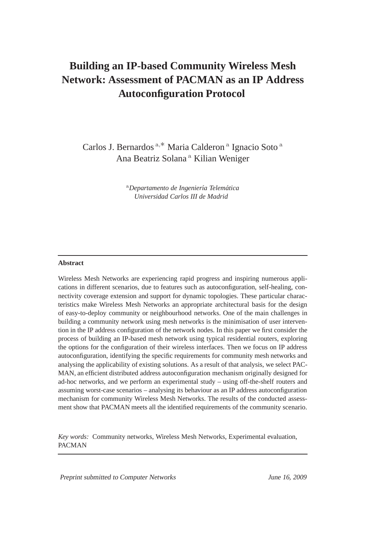# **Building an IP-based Community Wireless Mesh Network: Assessment of PACMAN as an IP Address Autoconfiguration Protocol**

Carlos J. Bernardos<sup>a,\*</sup> Maria Calderon<sup>a</sup> Ignacio Soto<sup>a</sup> Ana Beatriz Solana <sup>a</sup> Kilian Weniger

> <sup>a</sup>*Departamento de Ingenier´ıa Telematica ´ Universidad Carlos III de Madrid*

#### **Abstract**

Wireless Mesh Networks are experiencing rapid progress and inspiring numerous applications in different scenarios, due to features such as autoconfiguration, self-healing, connectivity coverage extension and support for dynamic topologies. These particular characteristics make Wireless Mesh Networks an appropriate architectural basis for the design of easy-to-deploy community or neighbourhood networks. One of the main challenges in building a community network using mesh networks is the minimisation of user intervention in the IP address configuration of the network nodes. In this paper we first consider the process of building an IP-based mesh network using typical residential routers, exploring the options for the configuration of their wireless interfaces. Then we focus on IP address autoconfiguration, identifying the specific requirements for community mesh networks and analysing the applicability of existing solutions. As a result of that analysis, we select PAC-MAN, an efficient distributed address autoconfiguration mechanism originally designed for ad-hoc networks, and we perform an experimental study – using off-the-shelf routers and assuming worst-case scenarios – analysing its behaviour as an IP address autoconfiguration mechanism for community Wireless Mesh Networks. The results of the conducted assessment show that PACMAN meets all the identified requirements of the community scenario.

*Key words:* Community networks, Wireless Mesh Networks, Experimental evaluation, PACMAN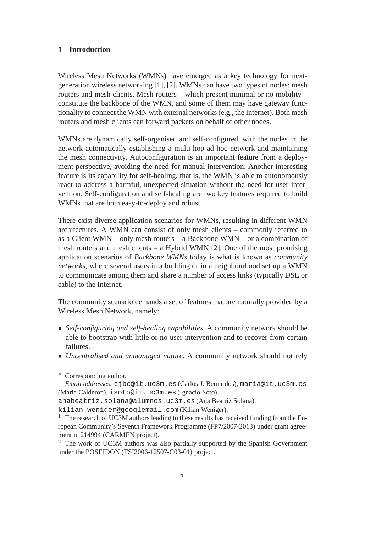# **1 Introduction**

Wireless Mesh Networks (WMNs) have emerged as a key technology for nextgeneration wireless networking [1], [2]. WMNs can have two types of nodes: mesh routers and mesh clients. Mesh routers – which present minimal or no mobility – constitute the backbone of the WMN, and some of them may have gateway functionality to connect the WMN with external networks (e.g., the Internet). Both mesh routers and mesh clients can forward packets on behalf of other nodes.

WMNs are dynamically self-organised and self-configured, with the nodes in the network automatically establishing a multi-hop ad-hoc network and maintaining the mesh connectivity. Autoconfiguration is an important feature from a deployment perspective, avoiding the need for manual intervention. Another interesting feature is its capability for self-healing, that is, the WMN is able to autonomously react to address a harmful, unexpected situation without the need for user intervention. Self-configuration and self-healing are two key features required to build WMNs that are both easy-to-deploy and robust.

There exist diverse application scenarios for WMNs, resulting in different WMN architectures. A WMN can consist of only mesh clients – commonly referred to as a Client WMN – only mesh routers – a Backbone WMN – or a combination of mesh routers and mesh clients – a Hybrid WMN [2]. One of the most promising application scenarios of *Backbone WMNs* today is what is known as *community networks*, where several users in a building or in a neighbourhood set up a WMN to communicate among them and share a number of access links (typically DSL or cable) to the Internet.

The community scenario demands a set of features that are naturally provided by a Wireless Mesh Network, namely:

- *Self-configuring and self-healing capabilities.* A community network should be able to bootstrap with little or no user intervention and to recover from certain failures.
- *Uncentralised and unmanaged nature.* A community network should not rely

Corresponding author.

*Email addresses:* cjbc@it.uc3m.es (Carlos J. Bernardos), maria@it.uc3m.es (Maria Calderon), isoto@it.uc3m.es (Ignacio Soto),

anabeatriz.solana@alumnos.uc3m.es (Ana Beatriz Solana),

kilian.weniger@googlemail.com (Kilian Weniger).

 $1$  The research of UC3M authors leading to these results has received funding from the European Community's Seventh Framework Programme (FP7/2007-2013) under grant agreement n 214994 (CARMEN project).

 $2\degree$  The work of UC3M authors was also partially supported by the Spanish Government under the POSEIDON (TSI2006-12507-C03-01) project.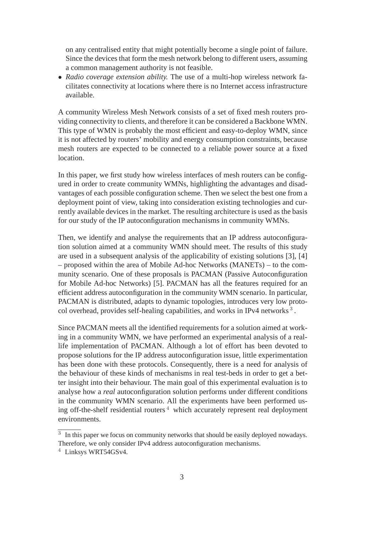on any centralised entity that might potentially become a single point of failure. Since the devices that form the mesh network belong to different users, assuming a common management authority is not feasible.

• *Radio coverage extension ability.* The use of a multi-hop wireless network facilitates connectivity at locations where there is no Internet access infrastructure available.

A community Wireless Mesh Network consists of a set of fixed mesh routers providing connectivity to clients, and therefore it can be considered a Backbone WMN. This type of WMN is probably the most efficient and easy-to-deploy WMN, since it is not affected by routers' mobility and energy consumption constraints, because mesh routers are expected to be connected to a reliable power source at a fixed location.

In this paper, we first study how wireless interfaces of mesh routers can be configured in order to create community WMNs, highlighting the advantages and disadvantages of each possible configuration scheme. Then we select the best one from a deployment point of view, taking into consideration existing technologies and currently available devices in the market. The resulting architecture is used as the basis for our study of the IP autoconfiguration mechanisms in community WMNs.

Then, we identify and analyse the requirements that an IP address autoconfiguration solution aimed at a community WMN should meet. The results of this study are used in a subsequent analysis of the applicability of existing solutions [3], [4] – proposed within the area of Mobile Ad-hoc Networks (MANETs) – to the community scenario. One of these proposals is PACMAN (Passive Autoconfiguration for Mobile Ad-hoc Networks) [5]. PACMAN has all the features required for an efficient address autoconfiguration in the community WMN scenario. In particular, PACMAN is distributed, adapts to dynamic topologies, introduces very low protocol overhead, provides self-healing capabilities, and works in IPv4 networks<sup>3</sup>.

Since PACMAN meets all the identified requirements for a solution aimed at working in a community WMN, we have performed an experimental analysis of a reallife implementation of PACMAN. Although a lot of effort has been devoted to propose solutions for the IP address autoconfiguration issue, little experimentation has been done with these protocols. Consequently, there is a need for analysis of the behaviour of these kinds of mechanisms in real test-beds in order to get a better insight into their behaviour. The main goal of this experimental evaluation is to analyse how a *real* autoconfiguration solution performs under different conditions in the community WMN scenario. All the experiments have been performed using off-the-shelf residential routers  $4$  which accurately represent real deployment environments.

 $\overline{3}$  In this paper we focus on community networks that should be easily deployed nowadays. Therefore, we only consider IPv4 address autoconfiguration mechanisms.

<sup>4</sup> Linksys WRT54GSv4.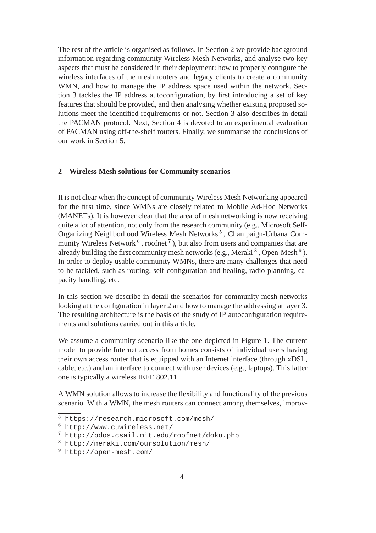The rest of the article is organised as follows. In Section 2 we provide background information regarding community Wireless Mesh Networks, and analyse two key aspects that must be considered in their deployment: how to properly configure the wireless interfaces of the mesh routers and legacy clients to create a community WMN, and how to manage the IP address space used within the network. Section 3 tackles the IP address autoconfiguration, by first introducing a set of key features that should be provided, and then analysing whether existing proposed solutions meet the identified requirements or not. Section 3 also describes in detail the PACMAN protocol. Next, Section 4 is devoted to an experimental evaluation of PACMAN using off-the-shelf routers. Finally, we summarise the conclusions of our work in Section 5.

## **2 Wireless Mesh solutions for Community scenarios**

It is not clear when the concept of community Wireless Mesh Networking appeared for the first time, since WMNs are closely related to Mobile Ad-Hoc Networks (MANETs). It is however clear that the area of mesh networking is now receiving quite a lot of attention, not only from the research community (e.g., Microsoft Self-Organizing Neighborhood Wireless Mesh Networks<sup>5</sup>, Champaign-Urbana Community Wireless Network<sup>6</sup>, roofnet<sup>7</sup>), but also from users and companies that are already building the first community mesh networks (e.g., Meraki  $\frac{8}{3}$ , Open-Mesh  $\frac{9}{3}$ ). In order to deploy usable community WMNs, there are many challenges that need to be tackled, such as routing, self-configuration and healing, radio planning, capacity handling, etc.

In this section we describe in detail the scenarios for community mesh networks looking at the configuration in layer 2 and how to manage the addressing at layer 3. The resulting architecture is the basis of the study of IP autoconfiguration requirements and solutions carried out in this article.

We assume a community scenario like the one depicted in Figure 1. The current model to provide Internet access from homes consists of individual users having their own access router that is equipped with an Internet interface (through xDSL, cable, etc.) and an interface to connect with user devices (e.g., laptops). This latter one is typically a wireless IEEE 802.11.

A WMN solution allows to increase the flexibility and functionality of the previous scenario. With a WMN, the mesh routers can connect among themselves, improv-

<sup>5</sup> https://research.microsoft.com/mesh/

 $6$  http://www.cuwireless.net/

<sup>7</sup> http://pdos.csail.mit.edu/roofnet/doku.php

<sup>8</sup> http://meraki.com/oursolution/mesh/

<sup>9</sup> http://open-mesh.com/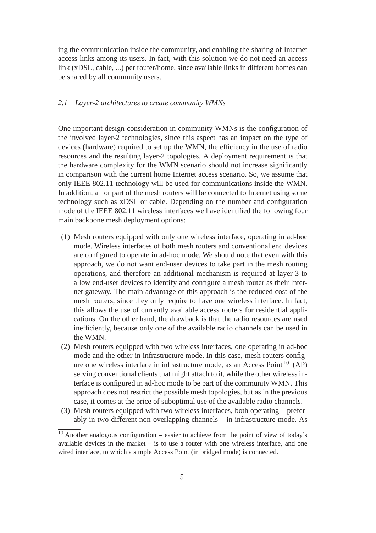ing the communication inside the community, and enabling the sharing of Internet access links among its users. In fact, with this solution we do not need an access link (xDSL, cable, ...) per router/home, since available links in different homes can be shared by all community users.

## *2.1 Layer-2 architectures to create community WMNs*

One important design consideration in community WMNs is the configuration of the involved layer-2 technologies, since this aspect has an impact on the type of devices (hardware) required to set up the WMN, the efficiency in the use of radio resources and the resulting layer-2 topologies. A deployment requirement is that the hardware complexity for the WMN scenario should not increase significantly in comparison with the current home Internet access scenario. So, we assume that only IEEE 802.11 technology will be used for communications inside the WMN. In addition, all or part of the mesh routers will be connected to Internet using some technology such as xDSL or cable. Depending on the number and configuration mode of the IEEE 802.11 wireless interfaces we have identified the following four main backbone mesh deployment options:

- (1) Mesh routers equipped with only one wireless interface, operating in ad-hoc mode. Wireless interfaces of both mesh routers and conventional end devices are configured to operate in ad-hoc mode. We should note that even with this approach, we do not want end-user devices to take part in the mesh routing operations, and therefore an additional mechanism is required at layer-3 to allow end-user devices to identify and configure a mesh router as their Internet gateway. The main advantage of this approach is the reduced cost of the mesh routers, since they only require to have one wireless interface. In fact, this allows the use of currently available access routers for residential applications. On the other hand, the drawback is that the radio resources are used inefficiently, because only one of the available radio channels can be used in the WMN.
- (2) Mesh routers equipped with two wireless interfaces, one operating in ad-hoc mode and the other in infrastructure mode. In this case, mesh routers configure one wireless interface in infrastructure mode, as an Access Point  $^{10}$  (AP) serving conventional clients that might attach to it, while the other wireless interface is configured in ad-hoc mode to be part of the community WMN. This approach does not restrict the possible mesh topologies, but as in the previous case, it comes at the price of suboptimal use of the available radio channels.
- (3) Mesh routers equipped with two wireless interfaces, both operating preferably in two different non-overlapping channels – in infrastructure mode. As

 $10$  Another analogous configuration – easier to achieve from the point of view of today's available devices in the market – is to use a router with one wireless interface, and one wired interface, to which a simple Access Point (in bridged mode) is connected.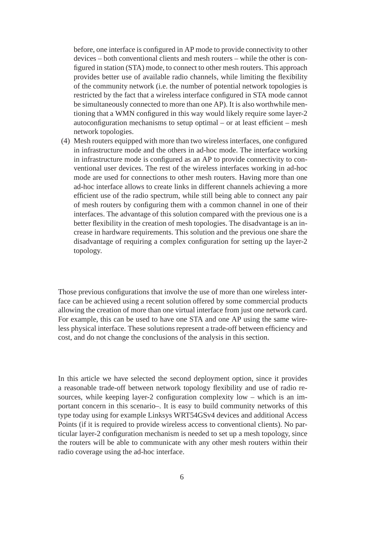before, one interface is configured in AP mode to provide connectivity to other devices – both conventional clients and mesh routers – while the other is configured in station (STA) mode, to connect to other mesh routers. This approach provides better use of available radio channels, while limiting the flexibility of the community network (i.e. the number of potential network topologies is restricted by the fact that a wireless interface configured in STA mode cannot be simultaneously connected to more than one AP). It is also worthwhile mentioning that a WMN configured in this way would likely require some layer-2 autoconfiguration mechanisms to setup optimal – or at least efficient – mesh network topologies.

(4) Mesh routers equipped with more than two wireless interfaces, one configured in infrastructure mode and the others in ad-hoc mode. The interface working in infrastructure mode is configured as an AP to provide connectivity to conventional user devices. The rest of the wireless interfaces working in ad-hoc mode are used for connections to other mesh routers. Having more than one ad-hoc interface allows to create links in different channels achieving a more efficient use of the radio spectrum, while still being able to connect any pair of mesh routers by configuring them with a common channel in one of their interfaces. The advantage of this solution compared with the previous one is a better flexibility in the creation of mesh topologies. The disadvantage is an increase in hardware requirements. This solution and the previous one share the disadvantage of requiring a complex configuration for setting up the layer-2 topology.

Those previous configurations that involve the use of more than one wireless interface can be achieved using a recent solution offered by some commercial products allowing the creation of more than one virtual interface from just one network card. For example, this can be used to have one STA and one AP using the same wireless physical interface. These solutions represent a trade-off between efficiency and cost, and do not change the conclusions of the analysis in this section.

In this article we have selected the second deployment option, since it provides a reasonable trade-off between network topology flexibility and use of radio resources, while keeping layer-2 configuration complexity low – which is an important concern in this scenario–. It is easy to build community networks of this type today using for example Linksys WRT54GSv4 devices and additional Access Points (if it is required to provide wireless access to conventional clients). No particular layer-2 configuration mechanism is needed to set up a mesh topology, since the routers will be able to communicate with any other mesh routers within their radio coverage using the ad-hoc interface.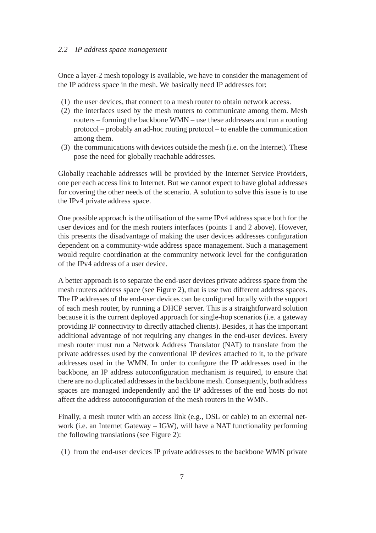#### *2.2 IP address space management*

Once a layer-2 mesh topology is available, we have to consider the management of the IP address space in the mesh. We basically need IP addresses for:

- (1) the user devices, that connect to a mesh router to obtain network access.
- (2) the interfaces used by the mesh routers to communicate among them. Mesh routers – forming the backbone WMN – use these addresses and run a routing protocol – probably an ad-hoc routing protocol – to enable the communication among them.
- (3) the communications with devices outside the mesh (i.e. on the Internet). These pose the need for globally reachable addresses.

Globally reachable addresses will be provided by the Internet Service Providers, one per each access link to Internet. But we cannot expect to have global addresses for covering the other needs of the scenario. A solution to solve this issue is to use the IPv4 private address space.

One possible approach is the utilisation of the same IPv4 address space both for the user devices and for the mesh routers interfaces (points 1 and 2 above). However, this presents the disadvantage of making the user devices addresses configuration dependent on a community-wide address space management. Such a management would require coordination at the community network level for the configuration of the IPv4 address of a user device.

A better approach is to separate the end-user devices private address space from the mesh routers address space (see Figure 2), that is use two different address spaces. The IP addresses of the end-user devices can be configured locally with the support of each mesh router, by running a DHCP server. This is a straightforward solution because it is the current deployed approach for single-hop scenarios (i.e. a gateway providing IP connectivity to directly attached clients). Besides, it has the important additional advantage of not requiring any changes in the end-user devices. Every mesh router must run a Network Address Translator (NAT) to translate from the private addresses used by the conventional IP devices attached to it, to the private addresses used in the WMN. In order to configure the IP addresses used in the backbone, an IP address autoconfiguration mechanism is required, to ensure that there are no duplicated addresses in the backbone mesh. Consequently, both address spaces are managed independently and the IP addresses of the end hosts do not affect the address autoconfiguration of the mesh routers in the WMN.

Finally, a mesh router with an access link (e.g., DSL or cable) to an external network (i.e. an Internet Gateway – IGW), will have a NAT functionality performing the following translations (see Figure 2):

(1) from the end-user devices IP private addresses to the backbone WMN private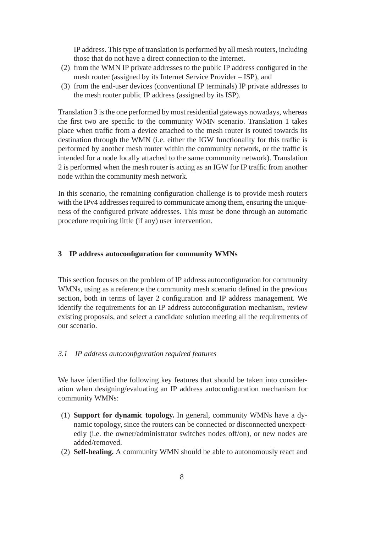IP address. This type of translation is performed by all mesh routers, including those that do not have a direct connection to the Internet.

- (2) from the WMN IP private addresses to the public IP address configured in the mesh router (assigned by its Internet Service Provider – ISP), and
- (3) from the end-user devices (conventional IP terminals) IP private addresses to the mesh router public IP address (assigned by its ISP).

Translation 3 is the one performed by most residential gateways nowadays, whereas the first two are specific to the community WMN scenario. Translation 1 takes place when traffic from a device attached to the mesh router is routed towards its destination through the WMN (i.e. either the IGW functionality for this traffic is performed by another mesh router within the community network, or the traffic is intended for a node locally attached to the same community network). Translation 2 is performed when the mesh router is acting as an IGW for IP traffic from another node within the community mesh network.

In this scenario, the remaining configuration challenge is to provide mesh routers with the IPv4 addresses required to communicate among them, ensuring the uniqueness of the configured private addresses. This must be done through an automatic procedure requiring little (if any) user intervention.

## **3 IP address autoconfiguration for community WMNs**

This section focuses on the problem of IP address autoconfiguration for community WMNs, using as a reference the community mesh scenario defined in the previous section, both in terms of layer 2 configuration and IP address management. We identify the requirements for an IP address autoconfiguration mechanism, review existing proposals, and select a candidate solution meeting all the requirements of our scenario.

#### *3.1 IP address autoconfiguration required features*

We have identified the following key features that should be taken into consideration when designing/evaluating an IP address autoconfiguration mechanism for community WMNs:

- (1) **Support for dynamic topology.** In general, community WMNs have a dynamic topology, since the routers can be connected or disconnected unexpectedly (i.e. the owner/administrator switches nodes off/on), or new nodes are added/removed.
- (2) **Self-healing.** A community WMN should be able to autonomously react and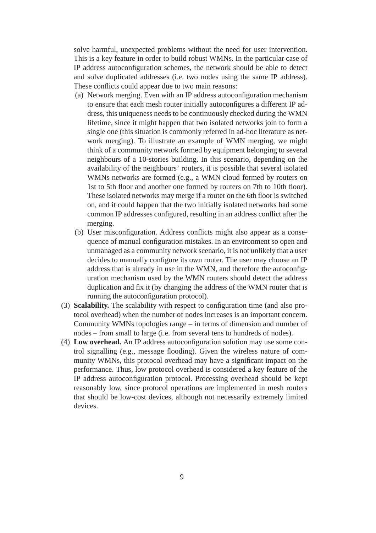solve harmful, unexpected problems without the need for user intervention. This is a key feature in order to build robust WMNs. In the particular case of IP address autoconfiguration schemes, the network should be able to detect and solve duplicated addresses (i.e. two nodes using the same IP address). These conflicts could appear due to two main reasons:

- (a) Network merging. Even with an IP address autoconfiguration mechanism to ensure that each mesh router initially autoconfigures a different IP address, this uniqueness needs to be continuously checked during the WMN lifetime, since it might happen that two isolated networks join to form a single one (this situation is commonly referred in ad-hoc literature as network merging). To illustrate an example of WMN merging, we might think of a community network formed by equipment belonging to several neighbours of a 10-stories building. In this scenario, depending on the availability of the neighbours' routers, it is possible that several isolated WMNs networks are formed (e.g., a WMN cloud formed by routers on 1st to 5th floor and another one formed by routers on 7th to 10th floor). These isolated networks may merge if a router on the 6th floor is switched on, and it could happen that the two initially isolated networks had some common IP addresses configured, resulting in an address conflict after the merging.
- (b) User misconfiguration. Address conflicts might also appear as a consequence of manual configuration mistakes. In an environment so open and unmanaged as a community network scenario, it is not unlikely that a user decides to manually configure its own router. The user may choose an IP address that is already in use in the WMN, and therefore the autoconfiguration mechanism used by the WMN routers should detect the address duplication and fix it (by changing the address of the WMN router that is running the autoconfiguration protocol).
- (3) **Scalability.** The scalability with respect to configuration time (and also protocol overhead) when the number of nodes increases is an important concern. Community WMNs topologies range – in terms of dimension and number of nodes – from small to large (i.e. from several tens to hundreds of nodes).
- (4) **Low overhead.** An IP address autoconfiguration solution may use some control signalling (e.g., message flooding). Given the wireless nature of community WMNs, this protocol overhead may have a significant impact on the performance. Thus, low protocol overhead is considered a key feature of the IP address autoconfiguration protocol. Processing overhead should be kept reasonably low, since protocol operations are implemented in mesh routers that should be low-cost devices, although not necessarily extremely limited devices.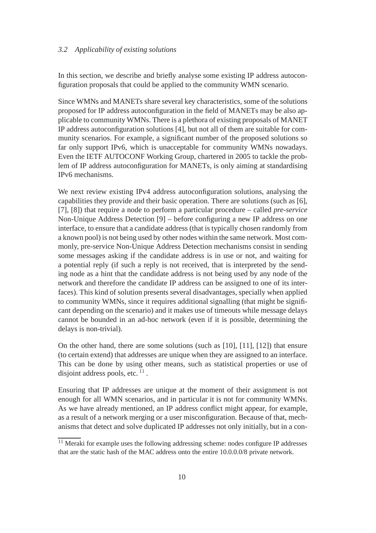#### *3.2 Applicability of existing solutions*

In this section, we describe and briefly analyse some existing IP address autoconfiguration proposals that could be applied to the community WMN scenario.

Since WMNs and MANETs share several key characteristics, some of the solutions proposed for IP address autoconfiguration in the field of MANETs may be also applicable to community WMNs. There is a plethora of existing proposals of MANET IP address autoconfiguration solutions [4], but not all of them are suitable for community scenarios. For example, a significant number of the proposed solutions so far only support IPv6, which is unacceptable for community WMNs nowadays. Even the IETF AUTOCONF Working Group, chartered in 2005 to tackle the problem of IP address autoconfiguration for MANETs, is only aiming at standardising IPv6 mechanisms.

We next review existing IPv4 address autoconfiguration solutions, analysing the capabilities they provide and their basic operation. There are solutions (such as [6], [7], [8]) that require a node to perform a particular procedure – called *pre-service* Non-Unique Address Detection [9] – before configuring a new IP address on one interface, to ensure that a candidate address (that is typically chosen randomly from a known pool) is not being used by other nodes within the same network. Most commonly, pre-service Non-Unique Address Detection mechanisms consist in sending some messages asking if the candidate address is in use or not, and waiting for a potential reply (if such a reply is not received, that is interpreted by the sending node as a hint that the candidate address is not being used by any node of the network and therefore the candidate IP address can be assigned to one of its interfaces). This kind of solution presents several disadvantages, specially when applied to community WMNs, since it requires additional signalling (that might be significant depending on the scenario) and it makes use of timeouts while message delays cannot be bounded in an ad-hoc network (even if it is possible, determining the delays is non-trivial).

On the other hand, there are some solutions (such as  $[10]$ ,  $[11]$ ,  $[12]$ ) that ensure (to certain extend) that addresses are unique when they are assigned to an interface. This can be done by using other means, such as statistical properties or use of disjoint address pools, etc.  $^{11}$ .

Ensuring that IP addresses are unique at the moment of their assignment is not enough for all WMN scenarios, and in particular it is not for community WMNs. As we have already mentioned, an IP address conflict might appear, for example, as a result of a network merging or a user misconfiguration. Because of that, mechanisms that detect and solve duplicated IP addresses not only initially, but in a con-

 $11$  Meraki for example uses the following addressing scheme: nodes configure IP addresses that are the static hash of the MAC address onto the entire 10.0.0.0/8 private network.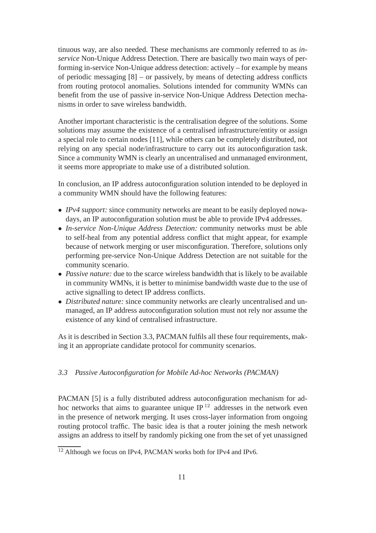tinuous way, are also needed. These mechanisms are commonly referred to as *inservice* Non-Unique Address Detection. There are basically two main ways of performing in-service Non-Unique address detection: actively – for example by means of periodic messaging [8] – or passively, by means of detecting address conflicts from routing protocol anomalies. Solutions intended for community WMNs can benefit from the use of passive in-service Non-Unique Address Detection mechanisms in order to save wireless bandwidth.

Another important characteristic is the centralisation degree of the solutions. Some solutions may assume the existence of a centralised infrastructure/entity or assign a special role to certain nodes [11], while others can be completely distributed, not relying on any special node/infrastructure to carry out its autoconfiguration task. Since a community WMN is clearly an uncentralised and unmanaged environment, it seems more appropriate to make use of a distributed solution.

In conclusion, an IP address autoconfiguration solution intended to be deployed in a community WMN should have the following features:

- *IPv4 support:* since community networks are meant to be easily deployed nowadays, an IP autoconfiguration solution must be able to provide IPv4 addresses.
- *In-service Non-Unique Address Detection:* community networks must be able to self-heal from any potential address conflict that might appear, for example because of network merging or user misconfiguration. Therefore, solutions only performing pre-service Non-Unique Address Detection are not suitable for the community scenario.
- *Passive nature:* due to the scarce wireless bandwidth that is likely to be available in community WMNs, it is better to minimise bandwidth waste due to the use of active signalling to detect IP address conflicts.
- *Distributed nature:* since community networks are clearly uncentralised and unmanaged, an IP address autoconfiguration solution must not rely nor assume the existence of any kind of centralised infrastructure.

As it is described in Section 3.3, PACMAN fulfils all these four requirements, making it an appropriate candidate protocol for community scenarios.

# *3.3 Passive Autoconfiguration for Mobile Ad-hoc Networks (PACMAN)*

PACMAN [5] is a fully distributed address autoconfiguration mechanism for adhoc networks that aims to guarantee unique  $IP<sup>12</sup>$  addresses in the network even in the presence of network merging. It uses cross-layer information from ongoing routing protocol traffic. The basic idea is that a router joining the mesh network assigns an address to itself by randomly picking one from the set of yet unassigned

 $12$  Although we focus on IPv4, PACMAN works both for IPv4 and IPv6.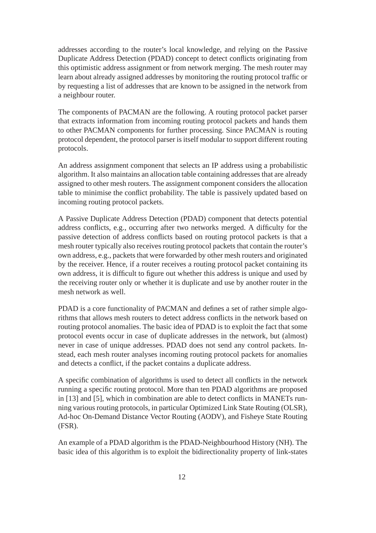addresses according to the router's local knowledge, and relying on the Passive Duplicate Address Detection (PDAD) concept to detect conflicts originating from this optimistic address assignment or from network merging. The mesh router may learn about already assigned addresses by monitoring the routing protocol traffic or by requesting a list of addresses that are known to be assigned in the network from a neighbour router.

The components of PACMAN are the following. A routing protocol packet parser that extracts information from incoming routing protocol packets and hands them to other PACMAN components for further processing. Since PACMAN is routing protocol dependent, the protocol parser is itself modular to support different routing protocols.

An address assignment component that selects an IP address using a probabilistic algorithm. It also maintains an allocation table containing addresses that are already assigned to other mesh routers. The assignment component considers the allocation table to minimise the conflict probability. The table is passively updated based on incoming routing protocol packets.

A Passive Duplicate Address Detection (PDAD) component that detects potential address conflicts, e.g., occurring after two networks merged. A difficulty for the passive detection of address conflicts based on routing protocol packets is that a mesh router typically also receives routing protocol packets that contain the router's own address, e.g., packets that were forwarded by other mesh routers and originated by the receiver. Hence, if a router receives a routing protocol packet containing its own address, it is difficult to figure out whether this address is unique and used by the receiving router only or whether it is duplicate and use by another router in the mesh network as well.

PDAD is a core functionality of PACMAN and defines a set of rather simple algorithms that allows mesh routers to detect address conflicts in the network based on routing protocol anomalies. The basic idea of PDAD is to exploit the fact that some protocol events occur in case of duplicate addresses in the network, but (almost) never in case of unique addresses. PDAD does not send any control packets. Instead, each mesh router analyses incoming routing protocol packets for anomalies and detects a conflict, if the packet contains a duplicate address.

A specific combination of algorithms is used to detect all conflicts in the network running a specific routing protocol. More than ten PDAD algorithms are proposed in [13] and [5], which in combination are able to detect conflicts in MANETs running various routing protocols, in particular Optimized Link State Routing (OLSR), Ad-hoc On-Demand Distance Vector Routing (AODV), and Fisheye State Routing (FSR).

An example of a PDAD algorithm is the PDAD-Neighbourhood History (NH). The basic idea of this algorithm is to exploit the bidirectionality property of link-states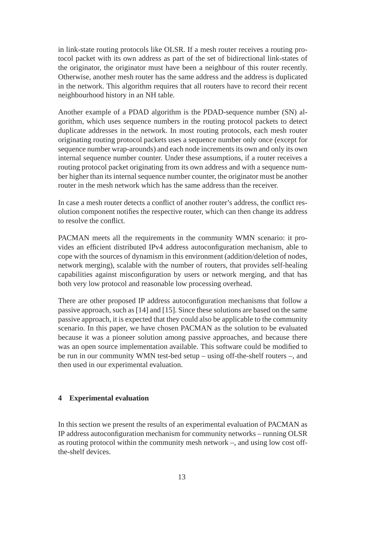in link-state routing protocols like OLSR. If a mesh router receives a routing protocol packet with its own address as part of the set of bidirectional link-states of the originator, the originator must have been a neighbour of this router recently. Otherwise, another mesh router has the same address and the address is duplicated in the network. This algorithm requires that all routers have to record their recent neighbourhood history in an NH table.

Another example of a PDAD algorithm is the PDAD-sequence number (SN) algorithm, which uses sequence numbers in the routing protocol packets to detect duplicate addresses in the network. In most routing protocols, each mesh router originating routing protocol packets uses a sequence number only once (except for sequence number wrap-arounds) and each node increments its own and only its own internal sequence number counter. Under these assumptions, if a router receives a routing protocol packet originating from its own address and with a sequence number higher than its internal sequence number counter, the originator must be another router in the mesh network which has the same address than the receiver.

In case a mesh router detects a conflict of another router's address, the conflict resolution component notifies the respective router, which can then change its address to resolve the conflict.

PACMAN meets all the requirements in the community WMN scenario: it provides an efficient distributed IPv4 address autoconfiguration mechanism, able to cope with the sources of dynamism in this environment (addition/deletion of nodes, network merging), scalable with the number of routers, that provides self-healing capabilities against misconfiguration by users or network merging, and that has both very low protocol and reasonable low processing overhead.

There are other proposed IP address autoconfiguration mechanisms that follow a passive approach, such as [14] and [15]. Since these solutions are based on the same passive approach, it is expected that they could also be applicable to the community scenario. In this paper, we have chosen PACMAN as the solution to be evaluated because it was a pioneer solution among passive approaches, and because there was an open source implementation available. This software could be modified to be run in our community WMN test-bed setup – using off-the-shelf routers –, and then used in our experimental evaluation.

## **4 Experimental evaluation**

In this section we present the results of an experimental evaluation of PACMAN as IP address autoconfiguration mechanism for community networks – running OLSR as routing protocol within the community mesh network –, and using low cost offthe-shelf devices.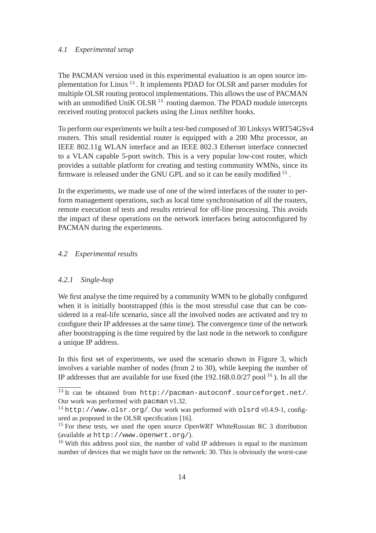#### *4.1 Experimental setup*

The PACMAN version used in this experimental evaluation is an open source implementation for Linux <sup>13</sup> . It implements PDAD for OLSR and parser modules for multiple OLSR routing protocol implementations. This allows the use of PACMAN with an unmodified UniK OLSR  $14$  routing daemon. The PDAD module intercepts received routing protocol packets using the Linux netfilter hooks.

To perform our experiments we built a test-bed composed of 30 Linksys WRT54GSv4 routers. This small residential router is equipped with a 200 Mhz processor, an IEEE 802.11g WLAN interface and an IEEE 802.3 Ethernet interface connected to a VLAN capable 5-port switch. This is a very popular low-cost router, which provides a suitable platform for creating and testing community WMNs, since its firmware is released under the GNU GPL and so it can be easily modified <sup>15</sup>.

In the experiments, we made use of one of the wired interfaces of the router to perform management operations, such as local time synchronisation of all the routers, remote execution of tests and results retrieval for off-line processing. This avoids the impact of these operations on the network interfaces being autoconfigured by PACMAN during the experiments.

## *4.2 Experimental results*

## *4.2.1 Single-hop*

We first analyse the time required by a community WMN to be globally configured when it is initially bootstrapped (this is the most stressful case that can be considered in a real-life scenario, since all the involved nodes are activated and try to configure their IP addresses at the same time). The convergence time of the network after bootstrapping is the time required by the last node in the network to configure a unique IP address.

In this first set of experiments, we used the scenario shown in Figure 3, which involves a variable number of nodes (from 2 to 30), while keeping the number of IP addresses that are available for use fixed (the  $192.168.0.0/27$  pool  $^{16}$ ). In all the

 $\frac{13}{13}$  It can be obtained from http://pacman-autoconf.sourceforget.net/. Our work was performed with pacman v1.32.

<sup>14</sup> http://www.olsr.org/. Our work was performed with olsrd v0.4.9-1, configured as proposed in the OLSR specification [16].

<sup>15</sup> For these tests, we used the open source *OpenWRT* WhiteRussian RC 3 distribution (available at http://www.openwrt.org/).

 $16$  With this address pool size, the number of valid IP addresses is equal to the maximum number of devices that we might have on the network: 30. This is obviously the worst-case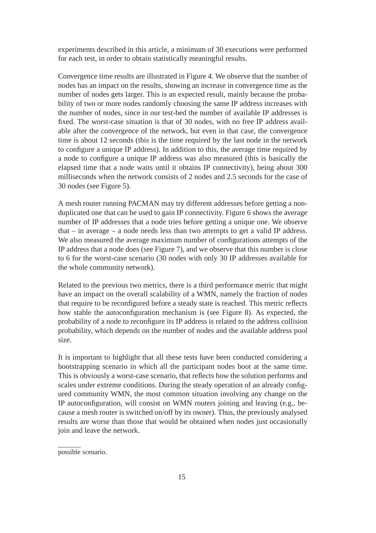experiments described in this article, a minimum of 30 executions were performed for each test, in order to obtain statistically meaningful results.

Convergence time results are illustrated in Figure 4. We observe that the number of nodes has an impact on the results, showing an increase in convergence time as the number of nodes gets larger. This is an expected result, mainly because the probability of two or more nodes randomly choosing the same IP address increases with the number of nodes, since in our test-bed the number of available IP addresses is fixed. The worst-case situation is that of 30 nodes, with no free IP address available after the convergence of the network, but even in that case, the convergence time is about 12 seconds (this is the time required by the last node in the network to configure a unique IP address). In addition to this, the average time required by a node to configure a unique IP address was also measured (this is basically the elapsed time that a node waits until it obtains IP connectivity), being about 300 milliseconds when the network consists of 2 nodes and 2.5 seconds for the case of 30 nodes (see Figure 5).

A mesh router running PACMAN may try different addresses before getting a nonduplicated one that can be used to gain IP connectivity. Figure 6 shows the average number of IP addresses that a node tries before getting a unique one. We observe that – in average – a node needs less than two attempts to get a valid IP address. We also measured the average maximum number of configurations attempts of the IP address that a node does (see Figure 7), and we observe that this number is close to 6 for the worst-case scenario (30 nodes with only 30 IP addresses available for the whole community network).

Related to the previous two metrics, there is a third performance metric that might have an impact on the overall scalability of a WMN, namely the fraction of nodes that require to be reconfigured before a steady state is reached. This metric reflects how stable the autoconfiguration mechanism is (see Figure 8). As expected, the probability of a node to reconfigure its IP address is related to the address collision probability, which depends on the number of nodes and the available address pool size.

It is important to highlight that all these tests have been conducted considering a bootstrapping scenario in which all the participant nodes boot at the same time. This is obviously a worst-case scenario, that reflects how the solution performs and scales under extreme conditions. During the steady operation of an already configured community WMN, the most common situation involving any change on the IP autoconfiguration, will consist on WMN routers joining and leaving (e.g., because a mesh router is switched on/off by its owner). Thus, the previously analysed results are worse than those that would be obtained when nodes just occasionally join and leave the network.

possible scenario.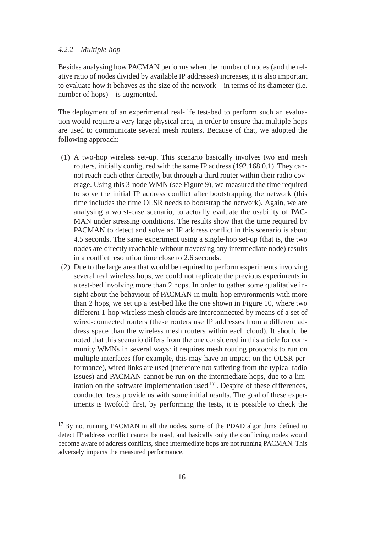#### *4.2.2 Multiple-hop*

Besides analysing how PACMAN performs when the number of nodes (and the relative ratio of nodes divided by available IP addresses) increases, it is also important to evaluate how it behaves as the size of the network – in terms of its diameter (i.e. number of hops) – is augmented.

The deployment of an experimental real-life test-bed to perform such an evaluation would require a very large physical area, in order to ensure that multiple-hops are used to communicate several mesh routers. Because of that, we adopted the following approach:

- (1) A two-hop wireless set-up. This scenario basically involves two end mesh routers, initially configured with the same IP address (192.168.0.1). They cannot reach each other directly, but through a third router within their radio coverage. Using this 3-node WMN (see Figure 9), we measured the time required to solve the initial IP address conflict after bootstrapping the network (this time includes the time OLSR needs to bootstrap the network). Again, we are analysing a worst-case scenario, to actually evaluate the usability of PAC-MAN under stressing conditions. The results show that the time required by PACMAN to detect and solve an IP address conflict in this scenario is about 4.5 seconds. The same experiment using a single-hop set-up (that is, the two nodes are directly reachable without traversing any intermediate node) results in a conflict resolution time close to 2.6 seconds.
- (2) Due to the large area that would be required to perform experiments involving several real wireless hops, we could not replicate the previous experiments in a test-bed involving more than 2 hops. In order to gather some qualitative insight about the behaviour of PACMAN in multi-hop environments with more than 2 hops, we set up a test-bed like the one shown in Figure 10, where two different 1-hop wireless mesh clouds are interconnected by means of a set of wired-connected routers (these routers use IP addresses from a different address space than the wireless mesh routers within each cloud). It should be noted that this scenario differs from the one considered in this article for community WMNs in several ways: it requires mesh routing protocols to run on multiple interfaces (for example, this may have an impact on the OLSR performance), wired links are used (therefore not suffering from the typical radio issues) and PACMAN cannot be run on the intermediate hops, due to a limitation on the software implementation used  $17$ . Despite of these differences, conducted tests provide us with some initial results. The goal of these experiments is twofold: first, by performing the tests, it is possible to check the

<sup>&</sup>lt;sup>17</sup> By not running PACMAN in all the nodes, some of the PDAD algorithms defined to detect IP address conflict cannot be used, and basically only the conflicting nodes would become aware of address conflicts, since intermediate hops are not running PACMAN. This adversely impacts the measured performance.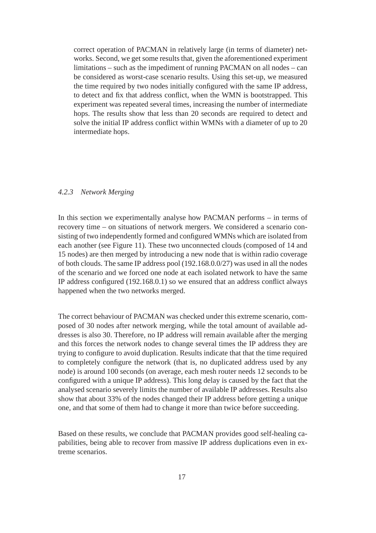correct operation of PACMAN in relatively large (in terms of diameter) networks. Second, we get some results that, given the aforementioned experiment limitations – such as the impediment of running PACMAN on all nodes – can be considered as worst-case scenario results. Using this set-up, we measured the time required by two nodes initially configured with the same IP address, to detect and fix that address conflict, when the WMN is bootstrapped. This experiment was repeated several times, increasing the number of intermediate hops. The results show that less than 20 seconds are required to detect and solve the initial IP address conflict within WMNs with a diameter of up to 20 intermediate hops.

## *4.2.3 Network Merging*

In this section we experimentally analyse how PACMAN performs – in terms of recovery time – on situations of network mergers. We considered a scenario consisting of two independently formed and configured WMNs which are isolated from each another (see Figure 11). These two unconnected clouds (composed of 14 and 15 nodes) are then merged by introducing a new node that is within radio coverage of both clouds. The same IP address pool (192.168.0.0/27) was used in all the nodes of the scenario and we forced one node at each isolated network to have the same IP address configured (192.168.0.1) so we ensured that an address conflict always happened when the two networks merged.

The correct behaviour of PACMAN was checked under this extreme scenario, composed of 30 nodes after network merging, while the total amount of available addresses is also 30. Therefore, no IP address will remain available after the merging and this forces the network nodes to change several times the IP address they are trying to configure to avoid duplication. Results indicate that that the time required to completely configure the network (that is, no duplicated address used by any node) is around 100 seconds (on average, each mesh router needs 12 seconds to be configured with a unique IP address). This long delay is caused by the fact that the analysed scenario severely limits the number of available IP addresses. Results also show that about 33% of the nodes changed their IP address before getting a unique one, and that some of them had to change it more than twice before succeeding.

Based on these results, we conclude that PACMAN provides good self-healing capabilities, being able to recover from massive IP address duplications even in extreme scenarios.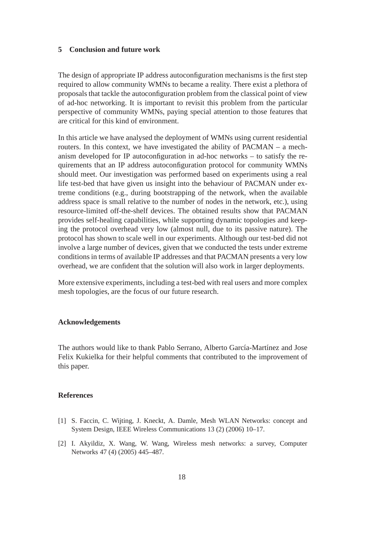# **5 Conclusion and future work**

The design of appropriate IP address autoconfiguration mechanisms is the first step required to allow community WMNs to became a reality. There exist a plethora of proposals that tackle the autoconfiguration problem from the classical point of view of ad-hoc networking. It is important to revisit this problem from the particular perspective of community WMNs, paying special attention to those features that are critical for this kind of environment.

In this article we have analysed the deployment of WMNs using current residential routers. In this context, we have investigated the ability of PACMAN – a mechanism developed for IP autoconfiguration in ad-hoc networks – to satisfy the requirements that an IP address autoconfiguration protocol for community WMNs should meet. Our investigation was performed based on experiments using a real life test-bed that have given us insight into the behaviour of PACMAN under extreme conditions (e.g., during bootstrapping of the network, when the available address space is small relative to the number of nodes in the network, etc.), using resource-limited off-the-shelf devices. The obtained results show that PACMAN provides self-healing capabilities, while supporting dynamic topologies and keeping the protocol overhead very low (almost null, due to its passive nature). The protocol has shown to scale well in our experiments. Although our test-bed did not involve a large number of devices, given that we conducted the tests under extreme conditions in terms of available IP addresses and that PACMAN presents a very low overhead, we are confident that the solution will also work in larger deployments.

More extensive experiments, including a test-bed with real users and more complex mesh topologies, are the focus of our future research.

## **Acknowledgements**

The authors would like to thank Pablo Serrano, Alberto García-Martínez and Jose Felix Kukielka for their helpful comments that contributed to the improvement of this paper.

#### **References**

- [1] S. Faccin, C. Wijting, J. Kneckt, A. Damle, Mesh WLAN Networks: concept and System Design, IEEE Wireless Communications 13 (2) (2006) 10–17.
- [2] I. Akyildiz, X. Wang, W. Wang, Wireless mesh networks: a survey, Computer Networks 47 (4) (2005) 445–487.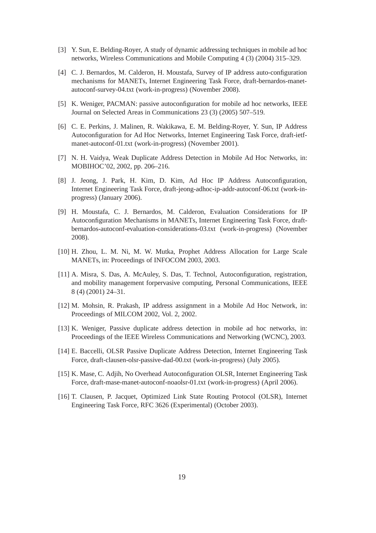- [3] Y. Sun, E. Belding-Royer, A study of dynamic addressing techniques in mobile ad hoc networks, Wireless Communications and Mobile Computing 4 (3) (2004) 315–329.
- [4] C. J. Bernardos, M. Calderon, H. Moustafa, Survey of IP address auto-configuration mechanisms for MANETs, Internet Engineering Task Force, draft-bernardos-manetautoconf-survey-04.txt (work-in-progress) (November 2008).
- [5] K. Weniger, PACMAN: passive autoconfiguration for mobile ad hoc networks, IEEE Journal on Selected Areas in Communications 23 (3) (2005) 507–519.
- [6] C. E. Perkins, J. Malinen, R. Wakikawa, E. M. Belding-Royer, Y. Sun, IP Address Autoconfiguration for Ad Hoc Networks, Internet Engineering Task Force, draft-ietfmanet-autoconf-01.txt (work-in-progress) (November 2001).
- [7] N. H. Vaidya, Weak Duplicate Address Detection in Mobile Ad Hoc Networks, in: MOBIHOC'02, 2002, pp. 206–216.
- [8] J. Jeong, J. Park, H. Kim, D. Kim, Ad Hoc IP Address Autoconfiguration, Internet Engineering Task Force, draft-jeong-adhoc-ip-addr-autoconf-06.txt (work-inprogress) (January 2006).
- [9] H. Moustafa, C. J. Bernardos, M. Calderon, Evaluation Considerations for IP Autoconfiguration Mechanisms in MANETs, Internet Engineering Task Force, draftbernardos-autoconf-evaluation-considerations-03.txt (work-in-progress) (November 2008).
- [10] H. Zhou, L. M. Ni, M. W. Mutka, Prophet Address Allocation for Large Scale MANETs, in: Proceedings of INFOCOM 2003, 2003.
- [11] A. Misra, S. Das, A. McAuley, S. Das, T. Technol, Autoconfiguration, registration, and mobility management forpervasive computing, Personal Communications, IEEE 8 (4) (2001) 24–31.
- [12] M. Mohsin, R. Prakash, IP address assignment in a Mobile Ad Hoc Network, in: Proceedings of MILCOM 2002, Vol. 2, 2002.
- [13] K. Weniger, Passive duplicate address detection in mobile ad hoc networks, in: Proceedings of the IEEE Wireless Communications and Networking (WCNC), 2003.
- [14] E. Baccelli, OLSR Passive Duplicate Address Detection, Internet Engineering Task Force, draft-clausen-olsr-passive-dad-00.txt (work-in-progress) (July 2005).
- [15] K. Mase, C. Adjih, No Overhead Autoconfiguration OLSR, Internet Engineering Task Force, draft-mase-manet-autoconf-noaolsr-01.txt (work-in-progress) (April 2006).
- [16] T. Clausen, P. Jacquet, Optimized Link State Routing Protocol (OLSR), Internet Engineering Task Force, RFC 3626 (Experimental) (October 2003).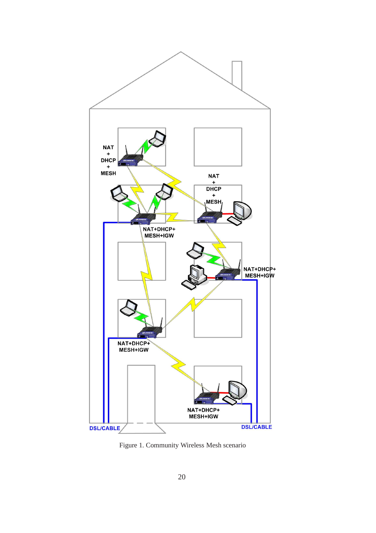

Figure 1. Community Wireless Mesh scenario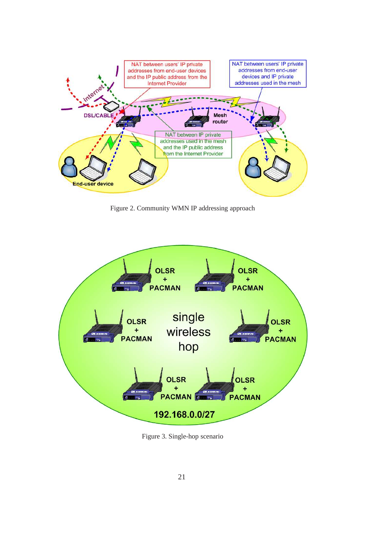

Figure 2. Community WMN IP addressing approach



Figure 3. Single-hop scenario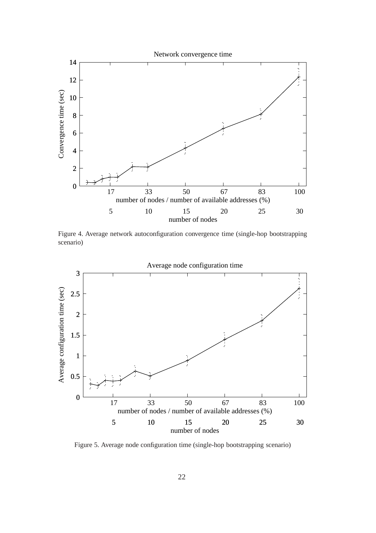

Figure 4. Average network autoconfiguration convergence time (single-hop bootstrapping scenario)



Figure 5. Average node configuration time (single-hop bootstrapping scenario)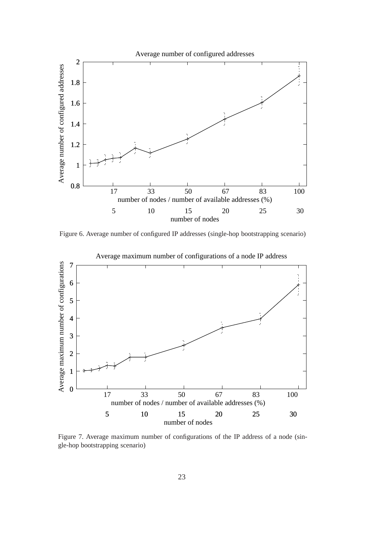

Figure 6. Average number of configured IP addresses (single-hop bootstrapping scenario)



Average maximum number of configurations of a node IP address

Figure 7. Average maximum number of configurations of the IP address of a node (single-hop bootstrapping scenario)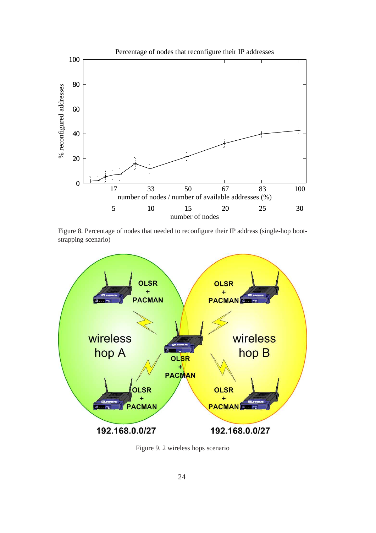![](_page_23_Figure_0.jpeg)

Figure 8. Percentage of nodes that needed to reconfigure their IP address (single-hop bootstrapping scenario)

![](_page_23_Figure_2.jpeg)

Figure 9. 2 wireless hops scenario